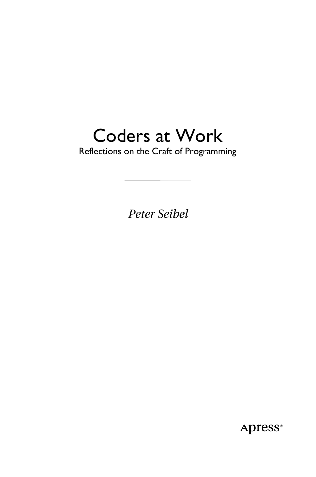#### Coders at Work

Reflections on the Craft of Programming

*Peter Seibel* 

Apress®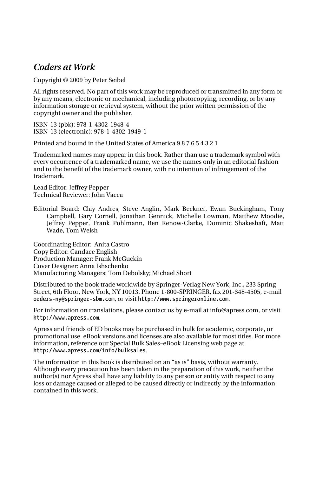#### *Coders at Work*

Copyright © 2009 by Peter Seibel

All rights reserved. No part of this work may be reproduced or transmitted in any form or by any means, electronic or mechanical, including photocopying, recording, or by any information storage or retrieval system, without the prior written permission of the copyright owner and the publisher.

ISBN-13 (pbk): 978-1-4302-1948-4 ISBN-13 (electronic): 978-1-4302-1949-1

Printed and bound in the United States of America 9 8 7 6 5 4 3 2 1

Trademarked names may appear in this book. Rather than use a trademark symbol with every occurrence of a trademarked name, we use the names only in an editorial fashion and to the benefit of the trademark owner, with no intention of infringement of the trademark.

Lead Editor: Jeffrey Pepper Technical Reviewer: John Vacca

Editorial Board: Clay Andres, Steve Anglin, Mark Beckner, Ewan Buckingham, Tony Campbell, Gary Cornell, Jonathan Gennick, Michelle Lowman, Matthew Moodie, Jeffrey Pepper, Frank Pohlmann, Ben Renow-Clarke, Dominic Shakeshaft, Matt Wade, Tom Welsh

Coordinating Editor: Anita Castro Copy Editor: Candace English Production Manager: Frank McGuckin Cover Designer: Anna Ishschenko Manufacturing Managers: Tom Debolsky; Michael Short

Distributed to the book trade worldwide by Springer-Verlag New York, Inc., 233 Spring Street, 6th Floor, New York, NY 10013. Phone 1-800-SPRINGER, fax 201-348-4505, e-mail **orders-ny@springer-sbm.com**, or visit **http://www.springeronline.com**.

For information on translations, please contact us by e-mail at info@apress.com, or visit **http://www.apress.com**.

Apress and friends of ED books may be purchased in bulk for academic, corporate, or promotional use. eBook versions and licenses are also available for most titles. For more information, reference our Special Bulk Sales—eBook Licensing web page at **http://www.apress.com/info/bulksales**.

The information in this book is distributed on an "as is" basis, without warranty. Although every precaution has been taken in the preparation of this work, neither the author(s) nor Apress shall have any liability to any person or entity with respect to any loss or damage caused or alleged to be caused directly or indirectly by the information contained in this work.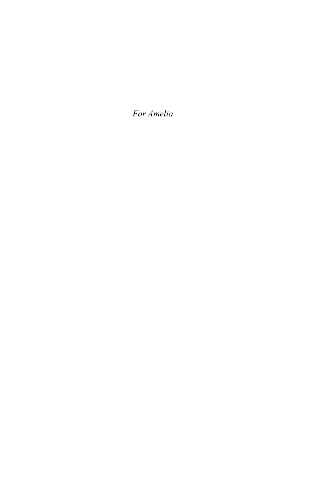For Amelia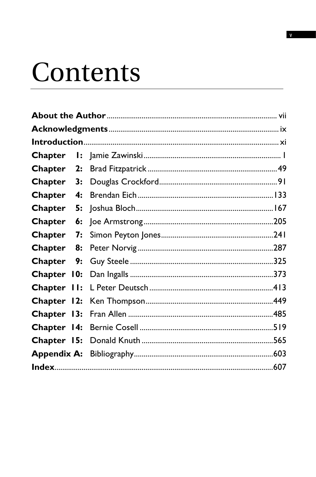#### Contents

| <b>Chapter</b>       |  |
|----------------------|--|
| Chapter<br>2:        |  |
| Chapter<br>3:        |  |
| Chapter<br>4:        |  |
| Chapter<br>5:        |  |
| Chapter<br>6:        |  |
| Chapter<br>7:        |  |
| Chapter<br>8:        |  |
| 9:<br><b>Chapter</b> |  |
| Chapter 10:          |  |
| Chapter II:          |  |
| Chapter 12:          |  |
| Chapter 13:          |  |
| Chapter 14:          |  |
| Chapter 15:          |  |
| <b>Appendix A:</b>   |  |
|                      |  |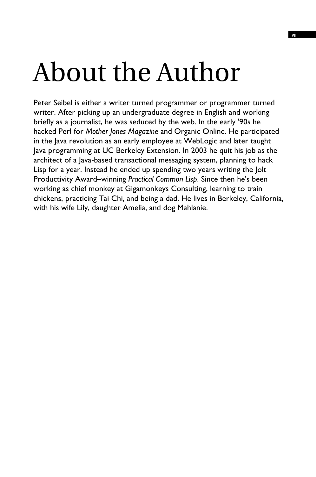### About the Author

Peter Seibel is either a writer turned programmer or programmer turned writer. After picking up an undergraduate degree in English and working briefly as a journalist, he was seduced by the web. In the early '90s he hacked Perl for *Mother Jones Magazine* and Organic Online. He participated in the Java revolution as an early employee at WebLogic and later taught Java programming at UC Berkeley Extension. In 2003 he quit his job as the architect of a Java-based transactional messaging system, planning to hack Lisp for a year. Instead he ended up spending two years writing the Jolt Productivity Award–winning *Practical Common Lisp*. Since then he's been working as chief monkey at Gigamonkeys Consulting, learning to train chickens, practicing Tai Chi, and being a dad. He lives in Berkeley, California, with his wife Lily, daughter Amelia, and dog Mahlanie.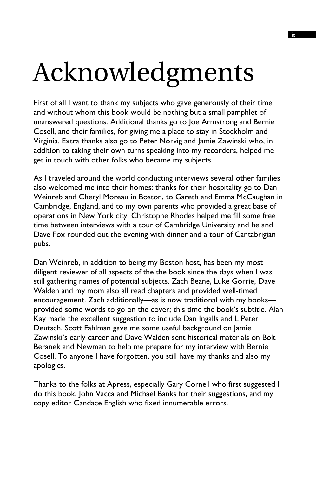## Acknowledgments

First of all I want to thank my subjects who gave generously of their time and without whom this book would be nothing but a small pamphlet of unanswered questions. Additional thanks go to Joe Armstrong and Bernie Cosell, and their families, for giving me a place to stay in Stockholm and Virginia. Extra thanks also go to Peter Norvig and Jamie Zawinski who, in addition to taking their own turns speaking into my recorders, helped me get in touch with other folks who became my subjects.

As I traveled around the world conducting interviews several other families also welcomed me into their homes: thanks for their hospitality go to Dan Weinreb and Cheryl Moreau in Boston, to Gareth and Emma McCaughan in Cambridge, England, and to my own parents who provided a great base of operations in New York city. Christophe Rhodes helped me fill some free time between interviews with a tour of Cambridge University and he and Dave Fox rounded out the evening with dinner and a tour of Cantabrigian pubs.

Dan Weinreb, in addition to being my Boston host, has been my most diligent reviewer of all aspects of the the book since the days when I was still gathering names of potential subjects. Zach Beane, Luke Gorrie, Dave Walden and my mom also all read chapters and provided well-timed encouragement. Zach additionally—as is now traditional with my books provided some words to go on the cover; this time the book's subtitle. Alan Kay made the excellent suggestion to include Dan Ingalls and L Peter Deutsch. Scott Fahlman gave me some useful background on Jamie Zawinski's early career and Dave Walden sent historical materials on Bolt Beranek and Newman to help me prepare for my interview with Bernie Cosell. To anyone I have forgotten, you still have my thanks and also my apologies.

Thanks to the folks at Apress, especially Gary Cornell who first suggested I do this book, John Vacca and Michael Banks for their suggestions, and my copy editor Candace English who fixed innumerable errors.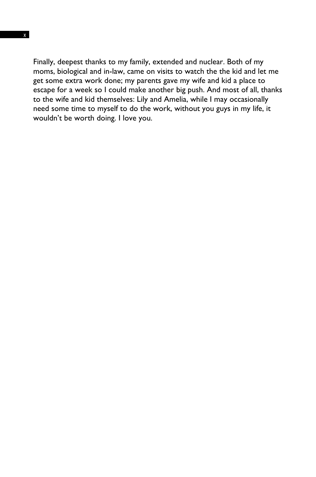Finally, deepest thanks to my family, extended and nuclear. Both of my moms, biological and in-law, came on visits to watch the the kid and let me get some extra work done; my parents gave my wife and kid a place to escape for a week so I could make another big push. And most of all, thanks to the wife and kid themselves: Lily and Amelia, while I may occasionally need some time to myself to do the work, without you guys in my life, it wouldn't be worth doing. I love you.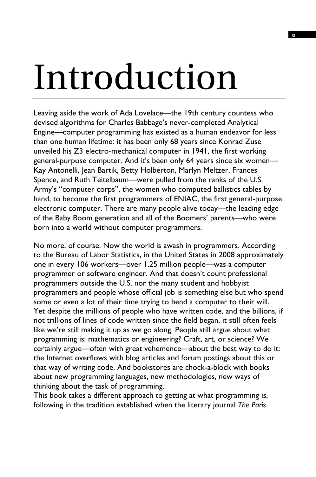# Introduction

Leaving aside the work of Ada Lovelace—the 19th century countess who devised algorithms for Charles Babbage's never-completed Analytical Engine—computer programming has existed as a human endeavor for less than one human lifetime: it has been only 68 years since Konrad Zuse unveiled his Z3 electro-mechanical computer in 1941, the first working general-purpose computer. And it's been only 64 years since six women— Kay Antonelli, Jean Bartik, Betty Holberton, Marlyn Meltzer, Frances Spence, and Ruth Teitelbaum—were pulled from the ranks of the U.S. Army's "computer corps", the women who computed ballistics tables by hand, to become the first programmers of ENIAC, the first general-purpose electronic computer. There are many people alive today—the leading edge of the Baby Boom generation and all of the Boomers' parents—who were born into a world without computer programmers.

No more, of course. Now the world is awash in programmers. According to the Bureau of Labor Statistics, in the United States in 2008 approximately one in every 106 workers—over 1.25 million people—was a computer programmer or software engineer. And that doesn't count professional programmers outside the U.S. nor the many student and hobbyist programmers and people whose official job is something else but who spend some or even a lot of their time trying to bend a computer to their will. Yet despite the millions of people who have written code, and the billions, if not trillions of lines of code written since the field began, it still often feels like we're still making it up as we go along. People still argue about what programming is: mathematics or engineering? Craft, art, or science? We certainly argue—often with great vehemence—about the best way to do it: the Internet overflows with blog articles and forum postings about this or that way of writing code. And bookstores are chock-a-block with books about new programming languages, new methodologies, new ways of thinking about the task of programming.

This book takes a different approach to getting at what programming is, following in the tradition established when the literary journal *The Paris*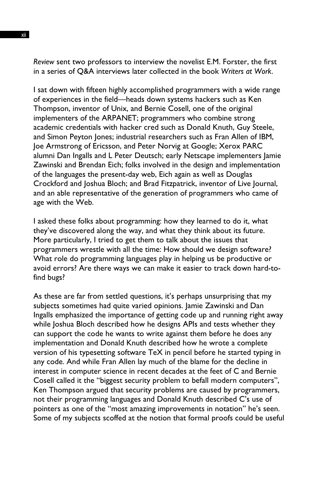*Review* sent two professors to interview the novelist E.M. Forster, the first in a series of Q&A interviews later collected in the book *Writers at Work*.

I sat down with fifteen highly accomplished programmers with a wide range of experiences in the field—heads down systems hackers such as Ken Thompson, inventor of Unix, and Bernie Cosell, one of the original implementers of the ARPANET; programmers who combine strong academic credentials with hacker cred such as Donald Knuth, Guy Steele, and Simon Peyton Jones; industrial researchers such as Fran Allen of IBM, Joe Armstrong of Ericsson, and Peter Norvig at Google; Xerox PARC alumni Dan Ingalls and L Peter Deutsch; early Netscape implementers Jamie Zawinski and Brendan Eich; folks involved in the design and implementation of the languages the present-day web, Eich again as well as Douglas Crockford and Joshua Bloch; and Brad Fitzpatrick, inventor of Live Journal, and an able representative of the generation of programmers who came of age with the Web.

I asked these folks about programming: how they learned to do it, what they've discovered along the way, and what they think about its future. More particularly, I tried to get them to talk about the issues that programmers wrestle with all the time: How should we design software? What role do programming languages play in helping us be productive or avoid errors? Are there ways we can make it easier to track down hard-tofind bugs?

As these are far from settled questions, it's perhaps unsurprising that my subjects sometimes had quite varied opinions. Jamie Zawinski and Dan Ingalls emphasized the importance of getting code up and running right away while Joshua Bloch described how he designs APIs and tests whether they can support the code he wants to write against them before he does any implementation and Donald Knuth described how he wrote a complete version of his typesetting software TeX in pencil before he started typing in any code. And while Fran Allen lay much of the blame for the decline in interest in computer science in recent decades at the feet of C and Bernie Cosell called it the "biggest security problem to befall modern computers", Ken Thompson argued that security problems are caused by programmers, not their programming languages and Donald Knuth described C's use of pointers as one of the "most amazing improvements in notation" he's seen. Some of my subjects scoffed at the notion that formal proofs could be useful